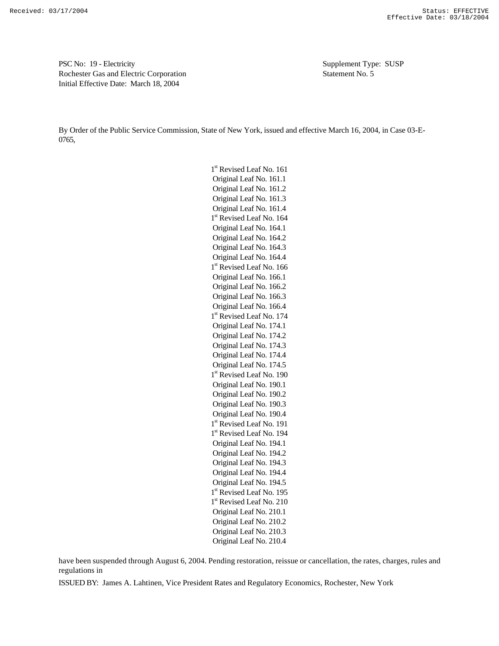PSC No: 19 - Electricity Supplement Type: SUSP Rochester Gas and Electric Corporation Statement No. 5 Initial Effective Date: March 18, 2004

By Order of the Public Service Commission, State of New York, issued and effective March 16, 2004, in Case 03-E-0765,

> 1<sup>st</sup> Revised Leaf No. 161 Original Leaf No. 161.1 Original Leaf No. 161.2 Original Leaf No. 161.3 Original Leaf No. 161.4 1<sup>st</sup> Revised Leaf No. 164 Original Leaf No. 164.1 Original Leaf No. 164.2 Original Leaf No. 164.3 Original Leaf No. 164.4 1<sup>st</sup> Revised Leaf No. 166 Original Leaf No. 166.1 Original Leaf No. 166.2 Original Leaf No. 166.3 Original Leaf No. 166.4 1<sup>st</sup> Revised Leaf No. 174 Original Leaf No. 174.1 Original Leaf No. 174.2 Original Leaf No. 174.3 Original Leaf No. 174.4 Original Leaf No. 174.5 1<sup>st</sup> Revised Leaf No. 190 Original Leaf No. 190.1 Original Leaf No. 190.2 Original Leaf No. 190.3 Original Leaf No. 190.4 1<sup>st</sup> Revised Leaf No. 191 1<sup>st</sup> Revised Leaf No. 194 Original Leaf No. 194.1 Original Leaf No. 194.2 Original Leaf No. 194.3 Original Leaf No. 194.4 Original Leaf No. 194.5 1<sup>st</sup> Revised Leaf No. 195 1<sup>st</sup> Revised Leaf No. 210 Original Leaf No. 210.1 Original Leaf No. 210.2 Original Leaf No. 210.3 Original Leaf No. 210.4

have been suspended through August 6, 2004. Pending restoration, reissue or cancellation, the rates, charges, rules and regulations in

ISSUED BY: James A. Lahtinen, Vice President Rates and Regulatory Economics, Rochester, New York